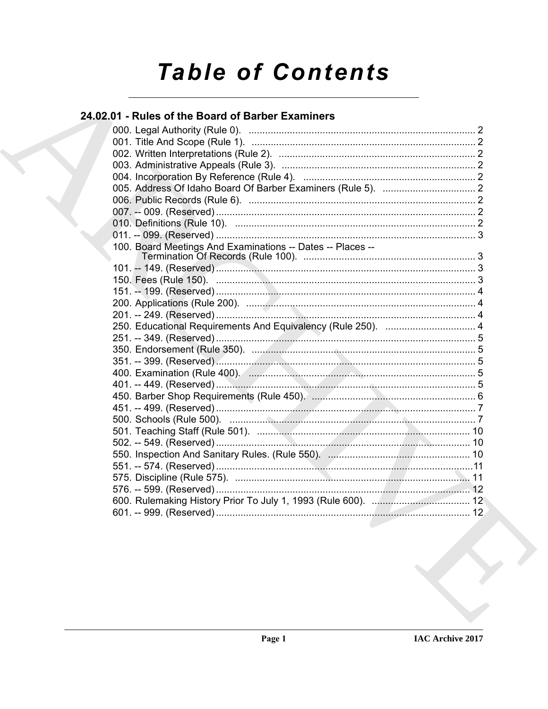# **Table of Contents**

### 24.02.01 - Rules of the Board of Barber Examiners

| 100. Board Meetings And Examinations -- Dates -- Places --   |  |
|--------------------------------------------------------------|--|
|                                                              |  |
|                                                              |  |
|                                                              |  |
|                                                              |  |
|                                                              |  |
|                                                              |  |
| 250. Educational Requirements And Equivalency (Rule 250).  4 |  |
|                                                              |  |
|                                                              |  |
|                                                              |  |
|                                                              |  |
|                                                              |  |
|                                                              |  |
|                                                              |  |
|                                                              |  |
|                                                              |  |
|                                                              |  |
|                                                              |  |
|                                                              |  |
|                                                              |  |
|                                                              |  |
|                                                              |  |
|                                                              |  |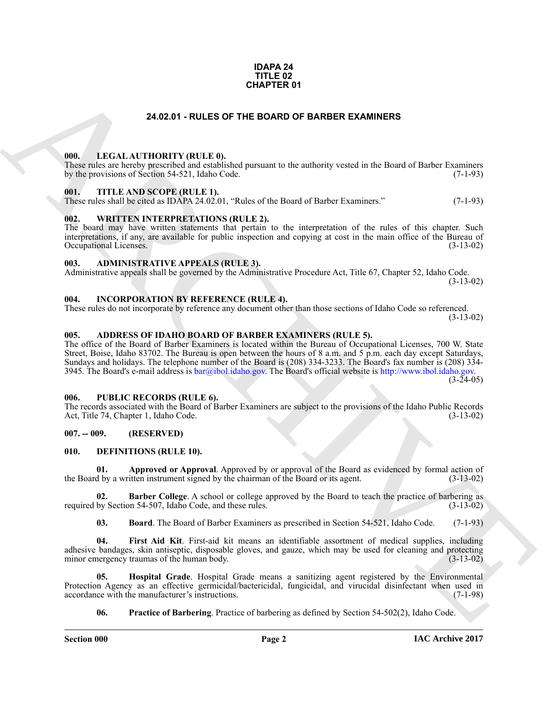#### **IDAPA 24 TITLE 02 CHAPTER 01**

#### **24.02.01 - RULES OF THE BOARD OF BARBER EXAMINERS**

#### <span id="page-1-1"></span><span id="page-1-0"></span>**000. LEGAL AUTHORITY (RULE 0).**

These rules are hereby prescribed and established pursuant to the authority vested in the Board of Barber Examiners by the provisions of Section 54-521, Idaho Code. (7-1-93)

#### <span id="page-1-2"></span>**001. TITLE AND SCOPE (RULE 1).**

These rules shall be cited as IDAPA 24.02.01, "Rules of the Board of Barber Examiners." (7-1-93)

#### <span id="page-1-3"></span>**002. WRITTEN INTERPRETATIONS (RULE 2).**

The board may have written statements that pertain to the interpretation of the rules of this chapter. Such interpretations, if any, are available for public inspection and copying at cost in the main office of the Bureau of Occupational Licenses. (3-13-02) Occupational Licenses.

#### <span id="page-1-4"></span>**003. ADMINISTRATIVE APPEALS (RULE 3).**

Administrative appeals shall be governed by the Administrative Procedure Act, Title 67, Chapter 52, Idaho Code. (3-13-02)

#### <span id="page-1-5"></span>**004. INCORPORATION BY REFERENCE (RULE 4).**

These rules do not incorporate by reference any document other than those sections of Idaho Code so referenced. (3-13-02)

#### <span id="page-1-10"></span><span id="page-1-6"></span>**005. ADDRESS OF IDAHO BOARD OF BARBER EXAMINERS (RULE 5).**

**24.02.01 - RULES OF THE BOARD OF BARBER EXAMINERS<br>
1991.** LEGAL ALTITORITY (RULE B)<br>
1991. THE ANS SCOPE (RELE B)<br>
1991. THE ANS SCOPE (RELE B).<br>
1991. THE ANS SCOPE (RELE B).<br>
1991. THE ANS SCOPE (RELE B).<br>
1991. THE AN The office of the Board of Barber Examiners is located within the Bureau of Occupational Licenses, 700 W. State Street, Boise, Idaho 83702. The Bureau is open between the hours of 8 a.m. and 5 p.m. each day except Saturdays, Sundays and holidays. The telephone number of the Board is (208) 334-3233. The Board's fax number is (208) 334- 3945. The Board's e-mail address is  $bar(\omega)$ ibol.idaho.gov. The Board's official website is http://www.ibol.idaho.gov.  $(3-24-05)$ 

#### <span id="page-1-7"></span>**006. PUBLIC RECORDS (RULE 6).**

The records associated with the Board of Barber Examiners are subject to the provisions of the Idaho Public Records<br>Act, Title 74, Chapter 1, Idaho Code. (3-13-02) Act, Title 74, Chapter 1, Idaho Code.

#### <span id="page-1-8"></span>**007. -- 009. (RESERVED)**

#### <span id="page-1-11"></span><span id="page-1-9"></span>**010. DEFINITIONS (RULE 10).**

<span id="page-1-12"></span>**01. Approved or Approval**. Approved by or approval of the Board as evidenced by formal action of d by a written instrument signed by the chairman of the Board or its agent. (3-13-02) the Board by a written instrument signed by the chairman of the Board or its agent.

**02. Barber College**. A school or college approved by the Board to teach the practice of barbering as required by Section 54-507, Idaho Code, and these rules. (3-13-02)

<span id="page-1-15"></span><span id="page-1-14"></span><span id="page-1-13"></span>**03. Board**. The Board of Barber Examiners as prescribed in Section 54-521, Idaho Code. (7-1-93)

**04. First Aid Kit**. First-aid kit means an identifiable assortment of medical supplies, including adhesive bandages, skin antiseptic, disposable gloves, and gauze, which may be used for cleaning and protecting minor emergency traumas of the human body. (3-13-02) minor emergency traumas of the human body.

**05. Hospital Grade**. Hospital Grade means a sanitizing agent registered by the Environmental Protection Agency as an effective germicidal/bactericidal, fungicidal, and virucidal disinfectant when used in accordance with the manufacturer's instructions. (7-1-98) accordance with the manufacturer's instructions.

<span id="page-1-17"></span><span id="page-1-16"></span>**06. Practice of Barbering**. Practice of barbering as defined by Section 54-502(2), Idaho Code.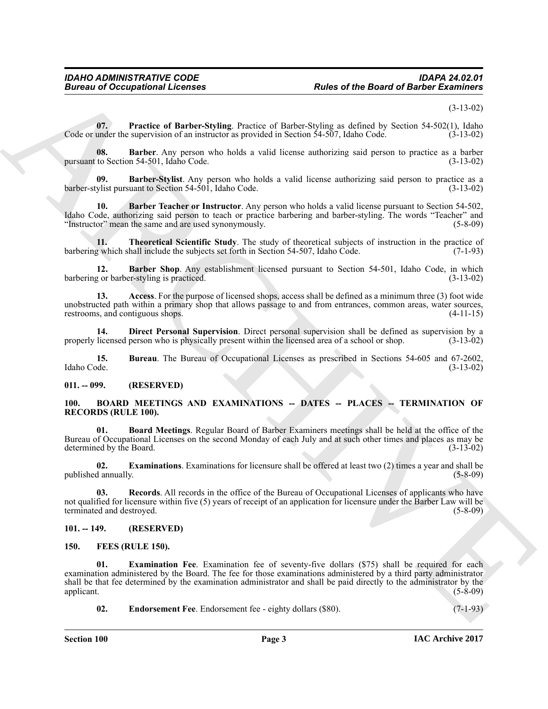(3-13-02)

<span id="page-2-15"></span>**07. Practice of Barber-Styling**. Practice of Barber-Styling as defined by Section 54-502(1), Idaho Code or under the supervision of an instructor as provided in Section 54-507, Idaho Code. (3-13-02)

<span id="page-2-9"></span>**08. Barber**. Any person who holds a valid license authorizing said person to practice as a barber to Section 54-501, Idaho Code. (3-13-02) pursuant to Section 54-501, Idaho Code.

<span id="page-2-12"></span>**09. Barber-Stylist**. Any person who holds a valid license authorizing said person to practice as a barber-stylist pursuant to Section 54-501, Idaho Code. (3-13-02)

<span id="page-2-11"></span>**10. Barber Teacher or Instructor**. Any person who holds a valid license pursuant to Section 54-502, Idaho Code, authorizing said person to teach or practice barbering and barber-styling. The words "Teacher" and "Instructor" mean the same and are used synonymously. (5-8-09)

<span id="page-2-16"></span>**11. Theoretical Scientific Study**. The study of theoretical subjects of instruction in the practice of explicity subjects set forth in Section 54-507. Idaho Code. (7-1-93) barbering which shall include the subjects set forth in Section 54-507, Idaho Code.

<span id="page-2-10"></span>**12. Barber Shop**. Any establishment licensed pursuant to Section 54-501, Idaho Code, in which a or barber-styling is practiced. barbering or barber-styling is practiced.

<span id="page-2-8"></span>**13. Access**. For the purpose of licensed shops, access shall be defined as a minimum three (3) foot wide unobstructed path within a primary shop that allows passage to and from entrances, common areas, water sources, restrooms, and contiguous shops. (4-11-15)

<span id="page-2-14"></span>**14. Direct Personal Supervision**. Direct personal supervision shall be defined as supervision by a licensed person who is physically present within the licensed area of a school or shop.  $(3-13-02)$ properly licensed person who is physically present within the licensed area of a school or shop.

<span id="page-2-13"></span>**15. Bureau**. The Bureau of Occupational Licenses as prescribed in Sections 54-605 and 67-2602, Idaho Code. (3-13-02) Idaho Code. (3-13-02)

<span id="page-2-0"></span>**011. -- 099. (RESERVED)**

#### <span id="page-2-4"></span><span id="page-2-1"></span>**100. BOARD MEETINGS AND EXAMINATIONS -- DATES -- PLACES -- TERMINATION OF RECORDS (RULE 100).**

<span id="page-2-5"></span>**01. Board Meetings**. Regular Board of Barber Examiners meetings shall be held at the office of the Bureau of Occupational Licenses on the second Monday of each July and at such other times and places as may be determined by the Board. (3-13-02)

<span id="page-2-6"></span>**02. Examinations**. Examinations for licensure shall be offered at least two (2) times a year and shall be published annually. (5-8-09)

<span id="page-2-7"></span>**03. Records**. All records in the office of the Bureau of Occupational Licenses of applicants who have not qualified for licensure within five (5) years of receipt of an application for licensure under the Barber Law will be terminated and destroyed.

#### <span id="page-2-2"></span>**101. -- 149. (RESERVED)**

<span id="page-2-17"></span><span id="page-2-3"></span>**150. FEES (RULE 150).**

**Europe of Decreasional Licenses**<br> **Andes of the Board of Burber Europe is a set of the Board of Burber Europe is a set of Burber Europe in the set of the System S4.501). Hence the set of the System S4.501) and particle i Examination Fee.** Examination fee of seventy-five dollars (\$75) shall be required for each examination administered by the Board. The fee for those examinations administered by a third party administrator shall be that fee determined by the examination administrator and shall be paid directly to the administrator by the applicant. (5-8-09) applicant. (5-8-09)

<span id="page-2-19"></span><span id="page-2-18"></span>**02. Endorsement Fee**. Endorsement fee - eighty dollars (\$80). (7-1-93)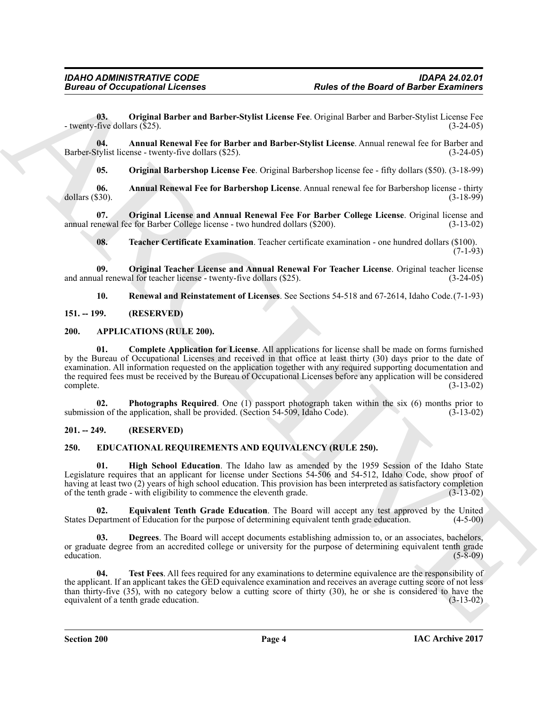<span id="page-3-14"></span>**03. Original Barber and Barber-Stylist License Fee**. Original Barber and Barber-Stylist License Fee - twenty-five dollars (\$25). (3-24-05)

**04. Annual Renewal Fee for Barber and Barber-Stylist License**. Annual renewal fee for Barber and Barber-Stylist license - twenty-five dollars (\$25).

<span id="page-3-15"></span><span id="page-3-13"></span><span id="page-3-12"></span>**05. Original Barbershop License Fee**. Original Barbershop license fee - fifty dollars (\$50). (3-18-99)

**06. Annual Renewal Fee for Barbershop License**. Annual renewal fee for Barbershop license - thirty dollars (\$30). (3-18-99)

**07. Original License and Annual Renewal Fee For Barber College License**. Original license and newal fee for Barber College license - two hundred dollars (\$200). annual renewal fee for Barber College license - two hundred dollars (\$200).

<span id="page-3-19"></span><span id="page-3-17"></span><span id="page-3-16"></span>**08. Teacher Certificate Examination**. Teacher certificate examination - one hundred dollars (\$100).  $(7-1-93)$ 

**09. Original Teacher License and Annual Renewal For Teacher License**. Original teacher license and annual renewal for teacher license - twenty-five dollars (\$25).

<span id="page-3-18"></span><span id="page-3-5"></span><span id="page-3-4"></span>**10. Renewal and Reinstatement of Licenses**. See Sections 54-518 and 67-2614, Idaho Code.(7-1-93)

<span id="page-3-0"></span>**151. -- 199. (RESERVED)**

<span id="page-3-1"></span>**200. APPLICATIONS (RULE 200).**

**Eurosia of Occupations I**. Fourial Beherral Beherral Marchives Resources and Archives Extension Control Beherral Beherral Beherral Beherral Beherral Beherral Beherral Beherral Beherral Beherral Beherral Beherral Beherral **01. Complete Application for License**. All applications for license shall be made on forms furnished by the Bureau of Occupational Licenses and received in that office at least thirty (30) days prior to the date of examination. All information requested on the application together with any required supporting documentation and the required fees must be received by the Bureau of Occupational Licenses before any application will be considered complete. (3-13-02) complete. (3-13-02)

<span id="page-3-6"></span>**02. Photographs Required**. One (1) passport photograph taken within the six (6) months prior to on of the application, shall be provided. (Section 54-509, Idaho Code). (3-13-02) submission of the application, shall be provided. (Section 54-509, Idaho Code).

#### <span id="page-3-2"></span>**201. -- 249. (RESERVED)**

#### <span id="page-3-7"></span><span id="page-3-3"></span>**250. EDUCATIONAL REQUIREMENTS AND EQUIVALENCY (RULE 250).**

<span id="page-3-10"></span>**01. High School Education**. The Idaho law as amended by the 1959 Session of the Idaho State Legislature requires that an applicant for license under Sections 54-506 and 54-512, Idaho Code, show proof of having at least two (2) years of high school education. This provision has been interpreted as satisfactory completion of the tenth grade - with eligibility to commence the eleventh grade. (3-13-02) of the tenth grade - with eligibility to commence the eleventh grade.

<span id="page-3-9"></span>**02. Equivalent Tenth Grade Education**. The Board will accept any test approved by the United epartment of Education for the purpose of determining equivalent tenth grade education. (4-5-00) States Department of Education for the purpose of determining equivalent tenth grade education.

<span id="page-3-8"></span>**03. Degrees**. The Board will accept documents establishing admission to, or an associates, bachelors, or graduate degree from an accredited college or university for the purpose of determining equivalent tenth grade<br>education. (5-8-09) education. (5-8-09)

<span id="page-3-11"></span>**04. Test Fees**. All fees required for any examinations to determine equivalence are the responsibility of the applicant. If an applicant takes the GED equivalence examination and receives an average cutting score of not less than thirty-five (35), with no category below a cutting score of thirty (30), he or she is considered to have the equivalent of a tenth grade education. equivalent of a tenth grade education.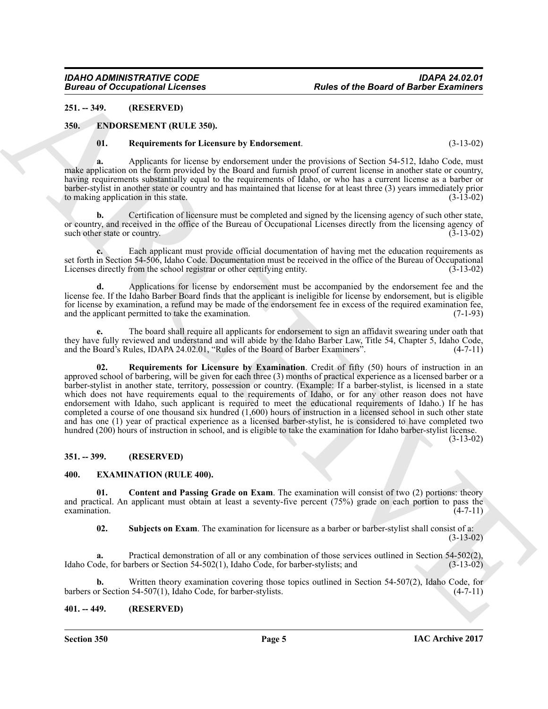#### <span id="page-4-0"></span>**251. -- 349. (RESERVED)**

#### <span id="page-4-1"></span>**350. ENDORSEMENT (RULE 350).**

#### <span id="page-4-6"></span><span id="page-4-5"></span>**01. Requirements for Licensure by Endorsement**. (3-13-02)

**a.** Applicants for license by endorsement under the provisions of Section 54-512, Idaho Code, must make application on the form provided by the Board and furnish proof of current license in another state or country, having requirements substantially equal to the requirements of Idaho, or who has a current license as a barber or barber-stylist in another state or country and has maintained that license for at least three (3) years immediately prior to making application in this state.

**b.** Certification of licensure must be completed and signed by the licensing agency of such other state, or country, and received in the office of the Bureau of Occupational Licenses directly from the licensing agency of such other state or country. (3-13-02)

**c.** Each applicant must provide official documentation of having met the education requirements as set forth in Section 54-506, Idaho Code. Documentation must be received in the office of the Bureau of Occupational Licenses directly from the school registrar or other certifying entity. (3-13-02)

**d.** Applications for license by endorsement must be accompanied by the endorsement fee and the license fee. If the Idaho Barber Board finds that the applicant is ineligible for license by endorsement, but is eligible for license by examination, a refund may be made of the endorsement fee in excess of the required examination fee, and the applicant permitted to take the examination. (7-1-93)

<span id="page-4-7"></span>**e.** The board shall require all applicants for endorsement to sign an affidavit swearing under oath that they have fully reviewed and understand and will abide by the Idaho Barber Law, Title 54, Chapter 5, Idaho Code, and the Board's Rules. IDAPA 24.02.01. "Rules of the Board of Barber Examiners". (4-7-11) and the Board's Rules, IDAPA 24.02.01, "Rules of the Board of Barber Examiners".

**Eurosia of Occupations I. Fourier and Archives and the Board of Business Eq. (40.8 a) (40.8 a) (40.8 a) (40.8 a) (40.8 a) (40.8 a) (40.8 a) (40.8 a) (40.8 a) (40.8 a) (40.8 a) (40.8 a) (40.8 a) (40.8 a) (40.8 a) (40.8 a) 02. Requirements for Licensure by Examination**. Credit of fifty (50) hours of instruction in an approved school of barbering, will be given for each three (3) months of practical experience as a licensed barber or a barber-stylist in another state, territory, possession or country. (Example: If a barber-stylist, is licensed in a state which does not have requirements equal to the requirements of Idaho, or for any other reason does not have endorsement with Idaho, such applicant is required to meet the educational requirements of Idaho.) If he has completed a course of one thousand six hundred (1,600) hours of instruction in a licensed school in such other state and has one (1) year of practical experience as a licensed barber-stylist, he is considered to have completed two hundred (200) hours of instruction in school, and is eligible to take the examination for Idaho barber-stylist license.

(3-13-02)

#### <span id="page-4-2"></span>**351. -- 399. (RESERVED)**

#### <span id="page-4-8"></span><span id="page-4-3"></span>**400. EXAMINATION (RULE 400).**

**01.** Content and Passing Grade on Exam. The examination will consist of two (2) portions: theory and practical. An applicant must obtain at least a seventy-five percent  $(75%)$  grade on each portion to pass the examination. examination.  $(4-7-11)$ 

<span id="page-4-10"></span><span id="page-4-9"></span>**02. Subjects on Exam**. The examination for licensure as a barber or barber-stylist shall consist of a: (3-13-02)

**a.** Practical demonstration of all or any combination of those services outlined in Section 54-502(2), Idaho Code, for barbers or Section 54-502(1), Idaho Code, for barber-stylists; and (3-13-02)

**b.** Written theory examination covering those topics outlined in Section 54-507(2), Idaho Code, for Section 54-507(1), Idaho Code, for barber-stylists. (4-7-11) barbers or Section  $54-507(1)$ , Idaho Code, for barber-stylists.

#### <span id="page-4-4"></span>**401. -- 449. (RESERVED)**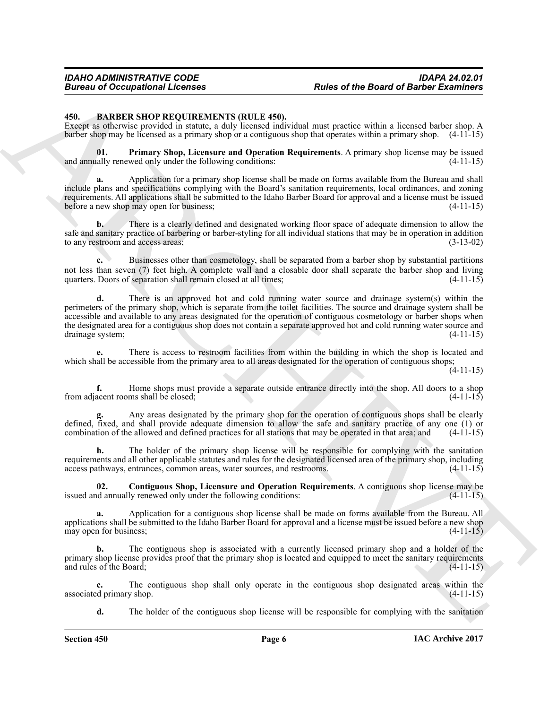#### <span id="page-5-1"></span><span id="page-5-0"></span>**450. BARBER SHOP REQUIREMENTS (RULE 450).**

Except as otherwise provided in statute, a duly licensed individual must practice within a licensed barber shop. A barber shop may be licensed as a primary shop or a contiguous shop that operates within a primary shop. (4-11-15)

<span id="page-5-3"></span>**01.** Primary Shop, Licensure and Operation Requirements. A primary shop license may be issued ally renewed only under the following conditions:  $(4-11-15)$ and annually renewed only under the following conditions:

**a.** Application for a primary shop license shall be made on forms available from the Bureau and shall include plans and specifications complying with the Board's sanitation requirements, local ordinances, and zoning requirements. All applications shall be submitted to the Idaho Barber Board for approval and a license must be issued<br>before a new shop may open for business; before a new shop may open for business;

**b.** There is a clearly defined and designated working floor space of adequate dimension to allow the safe and sanitary practice of barbering or barber-styling for all individual stations that may be in operation in addition<br>(3-13-02) (3-13-02) to any restroom and access areas;

**c.** Businesses other than cosmetology, shall be separated from a barber shop by substantial partitions not less than seven (7) feet high. A complete wall and a closable door shall separate the barber shop and living quarters. Doors of separation shall remain closed at all times: (4-11-15) quarters. Doors of separation shall remain closed at all times;

**Euros of Occupations I. Fouriers 6.** Robert of the Board of the Board of Burbor Examines 450.<br>
Solutions and the probabilities in the state of the state of the state of the state of the state of the state of the state of **d.** There is an approved hot and cold running water source and drainage system(s) within the perimeters of the primary shop, which is separate from the toilet facilities. The source and drainage system shall be accessible and available to any areas designated for the operation of contiguous cosmetology or barber shops when the designated area for a contiguous shop does not contain a separate approved hot and cold running water source and drainage system: (4-11-15) drainage system;

**e.** There is access to restroom facilities from within the building in which the shop is located and which shall be accessible from the primary area to all areas designated for the operation of contiguous shops;

 $(4-11-15)$ 

**f.** Home shops must provide a separate outside entrance directly into the shop. All doors to a shop acent rooms shall be closed:  $(4-11-15)$ from adjacent rooms shall be closed;

**g.** Any areas designated by the primary shop for the operation of contiguous shops shall be clearly defined, fixed, and shall provide adequate dimension to allow the safe and sanitary practice of any one (1) or<br>combination of the allowed and defined practices for all stations that may be operated in that area: and (4-11combination of the allowed and defined practices for all stations that may be operated in that area; and

**h.** The holder of the primary shop license will be responsible for complying with the sanitation requirements and all other applicable statutes and rules for the designated licensed area of the primary shop, including access pathways, entrances, common areas, water sources, and restrooms.  $(4-11-15)$ access pathways, entrances, common areas, water sources, and restrooms.

<span id="page-5-2"></span>**02.** Contiguous Shop, Licensure and Operation Requirements. A contiguous shop license may be d annually renewed only under the following conditions: (4-11-15) issued and annually renewed only under the following conditions:

**a.** Application for a contiguous shop license shall be made on forms available from the Bureau. All applications shall be submitted to the Idaho Barber Board for approval and a license must be issued before a new shop may open for business: (4-11-15) may open for business;

**b.** The contiguous shop is associated with a currently licensed primary shop and a holder of the primary shop license provides proof that the primary shop is located and equipped to meet the sanitary requirements and rules of the Board: (4-11-15) and rules of the Board;

**c.** The contiguous shop shall only operate in the contiguous shop designated areas within the designated originary shop.  $(4-11-15)$ associated primary shop.

**d.** The holder of the contiguous shop license will be responsible for complying with the sanitation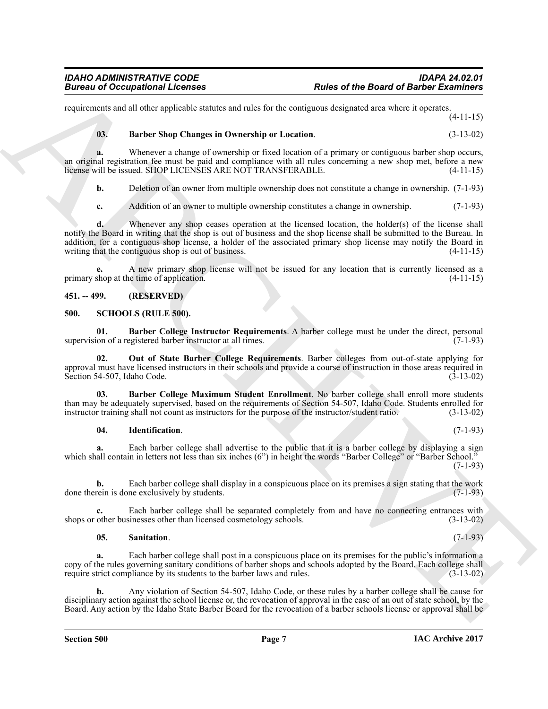requirements and all other applicable statutes and rules for the contiguous designated area where it operates. (4-11-15)

#### <span id="page-6-2"></span>**03. Barber Shop Changes in Ownership or Location**. (3-13-02)

**a.** Whenever a change of ownership or fixed location of a primary or contiguous barber shop occurs, an original registration fee must be paid and compliance with all rules concerning a new shop met, before a new license will be issued. SHOP LICENSES ARE NOT TRANSFERABLE. (4-11-15)

**b.** Deletion of an owner from multiple ownership does not constitute a change in ownership.  $(7-1-93)$ 

**c.** Addition of an owner to multiple ownership constitutes a change in ownership. (7-1-93)

Bureau of Cocapations I Leonards and tale Relative Research the Barabia stressor (1988). But the specific state is a stressor of the Barabia stressor (1988) (1988)<br>
We also the specific state is the continue of continue o **d.** Whenever any shop ceases operation at the licensed location, the holder(s) of the license shall notify the Board in writing that the shop is out of business and the shop license shall be submitted to the Bureau. In addition, for a contiguous shop license, a holder of the associated primary shop license may notify the Board in writing that the contiguous shop is out of business. (4-11-15) writing that the contiguous shop is out of business.

**e.** A new primary shop license will not be issued for any location that is currently licensed as a primary shop at the time of application.

#### <span id="page-6-0"></span>**451. -- 499. (RESERVED)**

#### <span id="page-6-3"></span><span id="page-6-1"></span>**500. SCHOOLS (RULE 500).**

<span id="page-6-4"></span>**01. Barber College Instructor Requirements**. A barber college must be under the direct, personal ion of a registered barber instructor at all times. (7-1-93) supervision of a registered barber instructor at all times.

<span id="page-6-7"></span>**02. Out of State Barber College Requirements**. Barber colleges from out-of-state applying for approval must have licensed instructors in their schools and provide a course of instruction in those areas required in Section 54-507, Idaho Code. (3-13-02) Section 54-507, Idaho Code.

**03. Barber College Maximum Student Enrollment**. No barber college shall enroll more students than may be adequately supervised, based on the requirements of Section 54-507, Idaho Code. Students enrolled for instructor training shall not count as instructors for the purpose of the instructor/student ratio. (3-13-02 instructor training shall not count as instructors for the purpose of the instructor/student ratio.

#### <span id="page-6-6"></span><span id="page-6-5"></span>**04. Identification**. (7-1-93)

**a.** Each barber college shall advertise to the public that it is a barber college by displaying a sign which shall contain in letters not less than six inches (6") in height the words "Barber College" or "Barber School."  $(7-1-93)$ 

**b.** Each barber college shall display in a conspicuous place on its premises a sign stating that the work rein is done exclusively by students. (7-1-93) done therein is done exclusively by students.

**c.** Each barber college shall be separated completely from and have no connecting entrances with other businesses other than licensed cosmetology schools. (3-13-02) shops or other businesses other than licensed cosmetology schools.

#### <span id="page-6-8"></span>**05. Sanitation**. (7-1-93)

**a.** Each barber college shall post in a conspicuous place on its premises for the public's information a copy of the rules governing sanitary conditions of barber shops and schools adopted by the Board. Each college shall require strict compliance by its students to the barber laws and rules. (3-13-02) require strict compliance by its students to the barber laws and rules.

**b.** Any violation of Section 54-507, Idaho Code, or these rules by a barber college shall be cause for disciplinary action against the school license or, the revocation of approval in the case of an out of state school, by the Board. Any action by the Idaho State Barber Board for the revocation of a barber schools license or approval shall be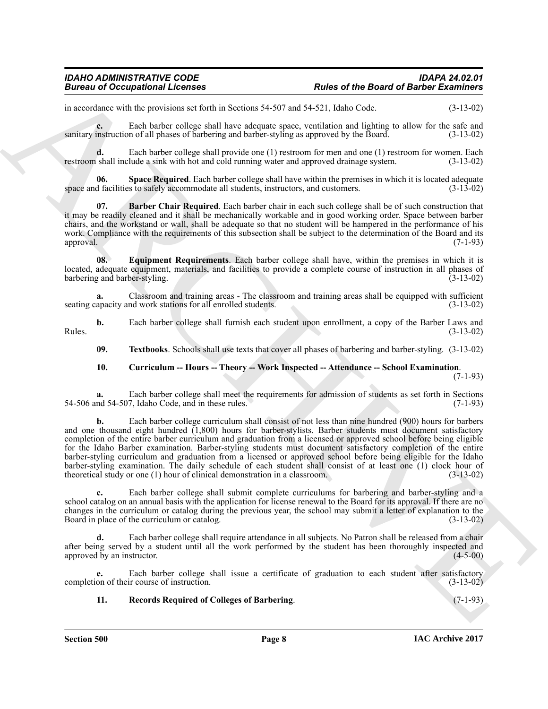#### *IDAHO ADMINISTRATIVE CODE IDAPA 24.02.01 Bureau of Occupational Licenses Rules of the Board of Barber Examiners*

in accordance with the provisions set forth in Sections 54-507 and 54-521, Idaho Code. (3-13-02)

**c.** Each barber college shall have adequate space, ventilation and lighting to allow for the safe and sanitary instruction of all phases of barbering and barber-styling as approved by the Board. (3-13-02)

**d.** Each barber college shall provide one (1) restroom for men and one (1) restroom for women. Each shall include a sink with hot and cold running water and approved drainage system. (3-13-02) restroom shall include a sink with hot and cold running water and approved drainage system.

<span id="page-7-4"></span>**06. Space Required**. Each barber college shall have within the premises in which it is located adequate space and facilities to safely accommodate all students, instructors, and customers. (3-13-02)

<span id="page-7-0"></span>**07. Barber Chair Required**. Each barber chair in each such college shall be of such construction that it may be readily cleaned and it shall be mechanically workable and in good working order. Space between barber chairs, and the workstand or wall, shall be adequate so that no student will be hampered in the performance of his work. Compliance with the requirements of this subsection shall be subject to the determination of the Board and its approval. (7-1-93)

<span id="page-7-2"></span>**08. Equipment Requirements**. Each barber college shall have, within the premises in which it is located, adequate equipment, materials, and facilities to provide a complete course of instruction in all phases of barbering and barber-styling.

**a.** Classroom and training areas - The classroom and training areas shall be equipped with sufficient apacity and work stations for all enrolled students. (3-13-02) seating capacity and work stations for all enrolled students.

**b.** Each barber college shall furnish each student upon enrollment, a copy of the Barber Laws and  $(3-13-02)$ Rules.  $(3-13-02)$ 

<span id="page-7-5"></span>**09. Textbooks**. Schools shall use texts that cover all phases of barbering and barber-styling. (3-13-02)

#### <span id="page-7-1"></span>**10. Curriculum -- Hours -- Theory -- Work Inspected -- Attendance -- School Examination**. (7-1-93)

**a.** Each barber college shall meet the requirements for admission of students as set forth in Sections 54-506 and 54-507, Idaho Code, and in these rules. (7-1-93)

Biomass of Occupations I Licenses<br>
and the Base of the Board of Busher Examines<br>
an account with the space such as Section 34-1973. However, the space such as the space such as  $(3+2\pi)$ <br>
and  $K_1$  is the space of the spa **b.** Each barber college curriculum shall consist of not less than nine hundred (900) hours for barbers and one thousand eight hundred (1,800) hours for barber-stylists. Barber students must document satisfactory completion of the entire barber curriculum and graduation from a licensed or approved school before being eligible for the Idaho Barber examination. Barber-styling students must document satisfactory completion of the entire barber-styling curriculum and graduation from a licensed or approved school before being eligible for the Idaho barber-styling examination. The daily schedule of each student shall consist of at least one (1) clock hour of theoretical study or one (1) hour of clinical demonstration in a classroom. (3-13-02)

**c.** Each barber college shall submit complete curriculums for barbering and barber-styling and a school catalog on an annual basis with the application for license renewal to the Board for its approval. If there are no changes in the curriculum or catalog during the previous year, the school may submit a letter of explanation to the Board in place of the curriculum or catalog. (3-13-02) Board in place of the curriculum or catalog.

**d.** Each barber college shall require attendance in all subjects. No Patron shall be released from a chair after being served by a student until all the work performed by the student has been thoroughly inspected and approved by an instructor. (4-5-00) approved by an instructor.

**e.** Each barber college shall issue a certificate of graduation to each student after satisfactory completion of their course of instruction. (3-13-02)

### <span id="page-7-3"></span>**11. Records Required of Colleges of Barbering**. (7-1-93)

**Section 500 Page 8**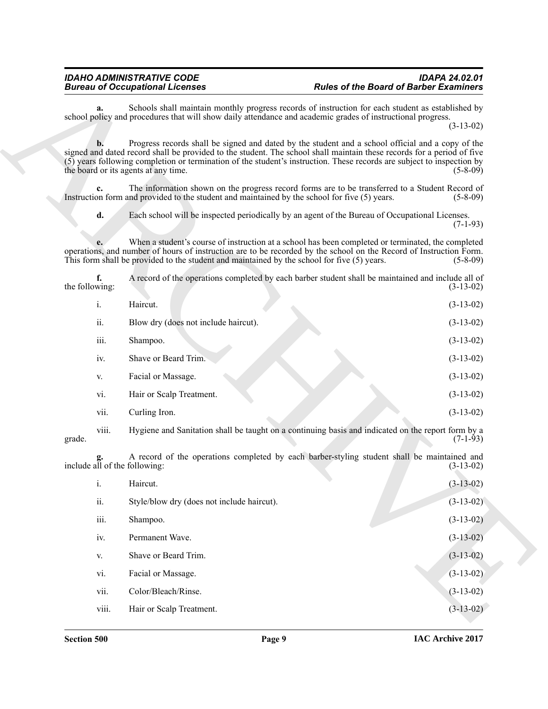| i.   | Haircut.                             | $(3-13-02)$ |
|------|--------------------------------------|-------------|
| ii.  | Blow dry (does not include haircut). | $(3-13-02)$ |
| iii. | Shampoo.                             | $(3-13-02)$ |
| iv.  | Shave or Beard Trim.                 | $(3-13-02)$ |
| V.   | Facial or Massage.                   | $(3-13-02)$ |
| vi.  | Hair or Scalp Treatment.             | $(3-13-02)$ |
| vii. | Curling Iron.                        | $(3-13-02)$ |
|      |                                      |             |

|                               | <b>Bureau of Occupational Licenses</b>                                                        | <b>Rules of the Board of Barber Examiners</b>                                                                                                                                                                                                                                                                                                                       |
|-------------------------------|-----------------------------------------------------------------------------------------------|---------------------------------------------------------------------------------------------------------------------------------------------------------------------------------------------------------------------------------------------------------------------------------------------------------------------------------------------------------------------|
| a.                            |                                                                                               | Schools shall maintain monthly progress records of instruction for each student as established by<br>school policy and procedures that will show daily attendance and academic grades of instructional progress.<br>$(3-13-02)$                                                                                                                                     |
| b.                            | the board or its agents at any time.                                                          | Progress records shall be signed and dated by the student and a school official and a copy of the<br>signed and dated record shall be provided to the student. The school shall maintain these records for a period of five<br>(5) years following completion or termination of the student's instruction. These records are subject to inspection by<br>$(5-8-09)$ |
|                               | Instruction form and provided to the student and maintained by the school for five (5) years. | The information shown on the progress record forms are to be transferred to a Student Record of<br>$(5-8-09)$                                                                                                                                                                                                                                                       |
| d.                            |                                                                                               | Each school will be inspected periodically by an agent of the Bureau of Occupational Licenses.<br>$(7-1-93)$                                                                                                                                                                                                                                                        |
|                               | This form shall be provided to the student and maintained by the school for five $(5)$ years. | When a student's course of instruction at a school has been completed or terminated, the completed<br>operations, and number of hours of instruction are to be recorded by the school on the Record of Instruction Form.<br>$(5-8-09)$                                                                                                                              |
| f.<br>the following:          |                                                                                               | A record of the operations completed by each barber student shall be maintained and include all of<br>$(3-13-02)$                                                                                                                                                                                                                                                   |
| i.                            | Haircut.                                                                                      | $(3-13-02)$                                                                                                                                                                                                                                                                                                                                                         |
| ii.                           | Blow dry (does not include haircut).                                                          | $(3-13-02)$                                                                                                                                                                                                                                                                                                                                                         |
| iii.                          | Shampoo.                                                                                      | $(3-13-02)$                                                                                                                                                                                                                                                                                                                                                         |
| iv.                           | Shave or Beard Trim.                                                                          | $(3-13-02)$                                                                                                                                                                                                                                                                                                                                                         |
| V.                            | Facial or Massage.                                                                            | $(3-13-02)$                                                                                                                                                                                                                                                                                                                                                         |
| vi.                           | Hair or Scalp Treatment.                                                                      | $(3-13-02)$                                                                                                                                                                                                                                                                                                                                                         |
| vii.                          | Curling Iron.                                                                                 | $(3-13-02)$                                                                                                                                                                                                                                                                                                                                                         |
| viii.<br>grade.               |                                                                                               | Hygiene and Sanitation shall be taught on a continuing basis and indicated on the report form by a<br>$(7-1-93)$                                                                                                                                                                                                                                                    |
| include all of the following: |                                                                                               | A record of the operations completed by each barber-styling student shall be maintained and<br>$(3-13-02)$                                                                                                                                                                                                                                                          |
| 1.                            | Haircut.                                                                                      | $(3-13-02)$                                                                                                                                                                                                                                                                                                                                                         |
| ii.                           | Style/blow dry (does not include haircut).                                                    | $(3-13-02)$                                                                                                                                                                                                                                                                                                                                                         |
| iii.                          | Shampoo.                                                                                      | $(3-13-02)$                                                                                                                                                                                                                                                                                                                                                         |
| iv.                           | Permanent Wave.                                                                               | $(3-13-02)$                                                                                                                                                                                                                                                                                                                                                         |
| $\mathbf{V}_{\star}$          | Shave or Beard Trim.                                                                          | $(3-13-02)$                                                                                                                                                                                                                                                                                                                                                         |
| vi.                           | Facial or Massage.                                                                            | $(3-13-02)$                                                                                                                                                                                                                                                                                                                                                         |
| vii.                          | Color/Bleach/Rinse.                                                                           | $(3-13-02)$                                                                                                                                                                                                                                                                                                                                                         |
| viii.                         | Hair or Scalp Treatment.                                                                      | $(3-13-02)$                                                                                                                                                                                                                                                                                                                                                         |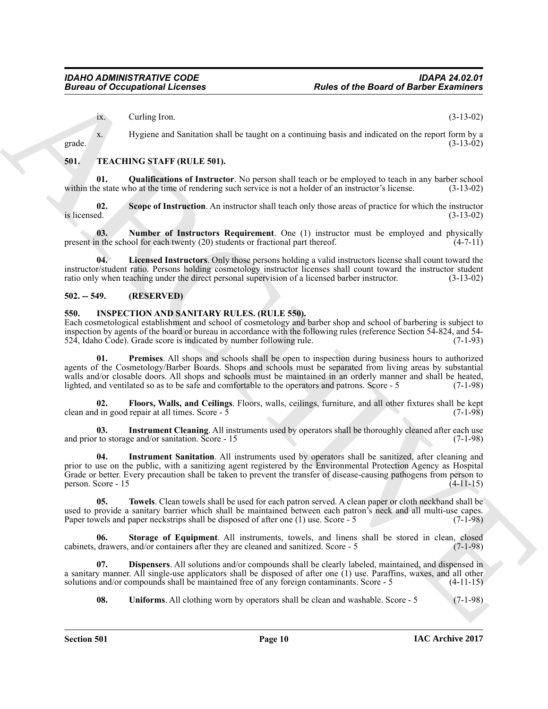$ix.$  Curling Iron.  $(3-13-02)$ 

<span id="page-9-15"></span>

x. Hygiene and Sanitation shall be taught on a continuing basis and indicated on the report form by a grade.  $(3-13-02)$ 

### <span id="page-9-12"></span><span id="page-9-0"></span>**501. TEACHING STAFF (RULE 501).**

**01. Qualifications of Instructor**. No person shall teach or be employed to teach in any barber school within the state who at the time of rendering such service is not a holder of an instructor's license. (3-13-02)

<span id="page-9-16"></span>**02.** Scope of Instruction. An instructor shall teach only those areas of practice for which the instructor is licensed. (3-13-02)  $\mu$  is licensed.  $(3-13-02)$ 

<span id="page-9-14"></span>**03.** Number of Instructors Requirement. One (1) instructor must be employed and physically in the school for each twenty (20) students or fractional part thereof. (4-7-11) present in the school for each twenty  $(20)$  students or fractional part thereof.

<span id="page-9-13"></span>**04. Licensed Instructors**. Only those persons holding a valid instructors license shall count toward the instructor/student ratio. Persons holding cosmetology instructor licenses shall count toward the instructor student ratio only when teaching under the direct personal supervision of a licensed barber instructor. (3-13-02)

### <span id="page-9-1"></span>**502. -- 549. (RESERVED)**

#### <span id="page-9-3"></span><span id="page-9-2"></span>**550. INSPECTION AND SANITARY RULES. (RULE 550).**

<span id="page-9-8"></span>Each cosmetological establishment and school of cosmetology and barber shop and school of barbering is subject to inspection by agents of the board or bureau in accordance with the following rules (reference Section 54-824, and 54-<br>524, Idaho Code). Grade score is indicated by number following rule. (7-1-93) 524, Idaho Code). Grade score is indicated by number following rule.

**Example 20** Conceptional Licenses<br>  $Rulces of the Board of Burbes' Evarinial (2)$ <br>
License and Sambino shall be taxple as a constante, base and advantation the taxple  $(31.12)$ <br>
31.<br>
TLACIENCS STAT (RULE SP).<br>
TLACIENCS STAT (RULE SP).<br>
TLACIENCS **01. Premises**. All shops and schools shall be open to inspection during business hours to authorized agents of the Cosmetology/Barber Boards. Shops and schools must be separated from living areas by substantial walls and/or closable doors. All shops and schools must be maintained in an orderly manner and shall be heated, lighted, and ventilated so as to be safe and comfortable to the operators and patrons. Score - 5 (7-1-98) lighted, and ventilated so as to be safe and comfortable to the operators and patrons. Score - 5

<span id="page-9-5"></span>**02. Floors, Walls, and Ceilings**. Floors, walls, ceilings, furniture, and all other fixtures shall be kept clean and in good repair at all times. Score -  $\overline{5}$ 

<span id="page-9-6"></span>**03.** Instrument Cleaning. All instruments used by operators shall be thoroughly cleaned after each use to storage and/or sanitation. Score - 15 (7-1-98) and prior to storage and/or sanitation. Score - 15

<span id="page-9-7"></span>**04. Instrument Sanitation**. All instruments used by operators shall be sanitized, after cleaning and prior to use on the public, with a sanitizing agent registered by the Environmental Protection Agency as Hospital Grade or better. Every precaution shall be taken to prevent the transfer of disease-causing pathogens from person to person. Score - 15  $(4-11-15)$ 

<span id="page-9-10"></span>**05. Towels**. Clean towels shall be used for each patron served. A clean paper or cloth neckband shall be used to provide a sanitary barrier which shall be maintained between each patron's neck and all multi-use capes.<br>Paper towels and paper neckstrips shall be disposed of after one (1) use. Score - 5 (7-1-98) Paper towels and paper neckstrips shall be disposed of after one  $(1)$  use. Score  $-5$ 

<span id="page-9-9"></span>**06.** Storage of Equipment. All instruments, towels, and linens shall be stored in clean, closed drawers, and/or containers after they are cleaned and sanitized. Score - 5 (7-1-98) cabinets, drawers, and/or containers after they are cleaned and sanitized. Score - 5

**Dispensers**. All solutions and/or compounds shall be clearly labeled, maintained, and dispensed in a sanitary manner. All single-use applicators shall be disposed of after one (1) use. Paraffins, waxes, and all other solutions and/or compounds shall be maintained free of any foreign contaminants. Score - 5 (4-11-15)

<span id="page-9-11"></span><span id="page-9-4"></span>**08.** Uniforms. All clothing worn by operators shall be clean and washable. Score - 5 (7-1-98)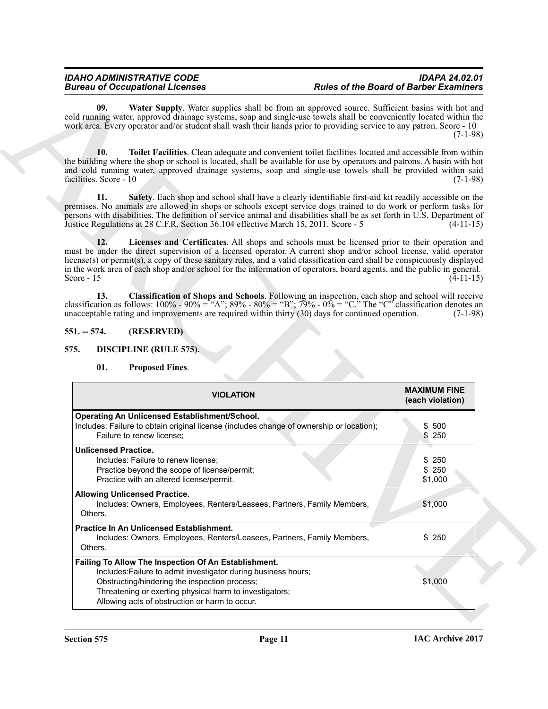### <span id="page-10-6"></span><span id="page-10-5"></span><span id="page-10-4"></span><span id="page-10-0"></span>**551. -- 574. (RESERVED)**

### <span id="page-10-1"></span>**575. DISCIPLINE (RULE 575).**

#### <span id="page-10-3"></span><span id="page-10-2"></span>**01. Proposed Fines**.

<span id="page-10-8"></span><span id="page-10-7"></span>

|                               | <b>Bureau of Occupational Licenses</b>                                                                                                                                                                                                                                                                                                                                                                                                                                     | <b>Rules of the Board of Barber Examiners</b> |
|-------------------------------|----------------------------------------------------------------------------------------------------------------------------------------------------------------------------------------------------------------------------------------------------------------------------------------------------------------------------------------------------------------------------------------------------------------------------------------------------------------------------|-----------------------------------------------|
| 09.                           | Water Supply. Water supplies shall be from an approved source. Sufficient basins with hot and<br>cold running water, approved drainage systems, soap and single-use towels shall be conveniently located within the<br>work area. Every operator and/or student shall wash their hands prior to providing service to any patron. Score - 10                                                                                                                                | $(7-1-98)$                                    |
| 10.<br>facilities. Score - 10 | Toilet Facilities. Clean adequate and convenient toilet facilities located and accessible from within<br>the building where the shop or school is located, shall be available for use by operators and patrons. A basin with hot<br>and cold running water, approved drainage systems, soap and single-use towels shall be provided within said                                                                                                                            | $(7-1-98)$                                    |
| 11.                           | Safety. Each shop and school shall have a clearly identifiable first-aid kit readily accessible on the<br>premises. No animals are allowed in shops or schools except service dogs trained to do work or perform tasks for<br>persons with disabilities. The definition of service animal and disabilities shall be as set forth in U.S. Department of<br>Justice Regulations at 28 C.F.R. Section 36.104 effective March 15, 2011. Score - 5                              | $(4-11-15)$                                   |
| 12.<br>Score $-15$            | Licenses and Certificates. All shops and schools must be licensed prior to their operation and<br>must be under the direct supervision of a licensed operator. A current shop and/or school license, valid operator<br>license(s) or permit(s), a copy of these sanitary rules, and a valid classification card shall be conspicuously displayed<br>in the work area of each shop and/or school for the information of operators, board agents, and the public in general. | $(4-11-15)$                                   |
|                               | 13. Classification of Shops and Schools. Following an inspection, each shop and school will receive classification as follows: $100\% - 90\% = "A"; 89\% - 80\% = "B"; 79\% - 0\% = "C." The "C" classification denotes an$                                                                                                                                                                                                                                                |                                               |
|                               | unacceptable rating and improvements are required within thirty (30) days for continued operation.                                                                                                                                                                                                                                                                                                                                                                         | $(7-1-98)$                                    |
|                               |                                                                                                                                                                                                                                                                                                                                                                                                                                                                            |                                               |
|                               | (RESERVED)                                                                                                                                                                                                                                                                                                                                                                                                                                                                 |                                               |
|                               | <b>DISCIPLINE (RULE 575).</b>                                                                                                                                                                                                                                                                                                                                                                                                                                              |                                               |
| 01.                           | <b>Proposed Fines.</b>                                                                                                                                                                                                                                                                                                                                                                                                                                                     |                                               |
|                               | <b>VIOLATION</b>                                                                                                                                                                                                                                                                                                                                                                                                                                                           | <b>MAXIMUM FINE</b><br>(each violation)       |
| $551. - 574.$<br>575.         | Operating An Unlicensed Establishment/School.<br>Includes: Failure to obtain original license (includes change of ownership or location);<br>Failure to renew license;                                                                                                                                                                                                                                                                                                     | \$500<br>\$250                                |
| <b>Unlicensed Practice.</b>   | Includes: Failure to renew license;<br>Practice beyond the scope of license/permit;                                                                                                                                                                                                                                                                                                                                                                                        | \$ 250<br>\$250                               |
| Others.                       | Practice with an altered license/permit.<br><b>Allowing Unlicensed Practice.</b><br>Includes: Owners, Employees, Renters/Leasees, Partners, Family Members,                                                                                                                                                                                                                                                                                                                | \$1,000<br>\$1,000                            |
| Others.                       | <b>Practice In An Unlicensed Establishment.</b><br>Includes: Owners, Employees, Renters/Leasees, Partners, Family Members,                                                                                                                                                                                                                                                                                                                                                 | \$250                                         |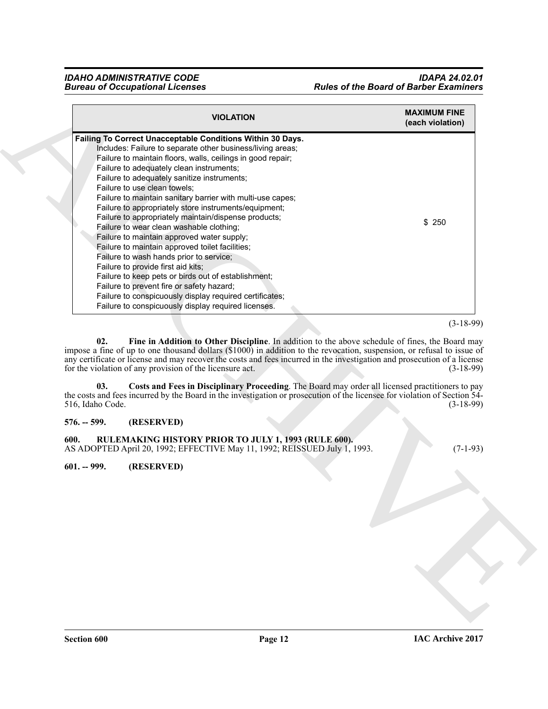| Failing To Correct Unacceptable Conditions Within 30 Days.<br>Includes: Failure to separate other business/living areas;<br>Failure to maintain floors, walls, ceilings in good repair;<br>Failure to adequately clean instruments;<br>Failure to adequately sanitize instruments;<br>Failure to use clean towels;<br>Failure to maintain sanitary barrier with multi-use capes;<br>Failure to appropriately store instruments/equipment;<br>Failure to appropriately maintain/dispense products;<br>\$250<br>Failure to wear clean washable clothing;<br>Failure to maintain approved water supply;<br>Failure to maintain approved toilet facilities;<br>Failure to wash hands prior to service;<br>Failure to provide first aid kits;<br>Failure to keep pets or birds out of establishment;<br>Failure to prevent fire or safety hazard;<br>Failure to conspicuously display required certificates;<br>Failure to conspicuously display required licenses.<br>02.<br>for the violation of any provision of the licensure act.<br>03.<br>516, Idaho Code.<br>(RESERVED)<br>$576. - 599.$<br>RULEMAKING HISTORY PRIOR TO JULY 1, 1993 (RULE 600).<br>600.<br>AS ADOPTED April 20, 1992; EFFECTIVE May 11, 1992; REISSUED July 1, 1993.<br>$601. - 999.$<br>(RESERVED) |  | <b>VIOLATION</b> | <b>MAXIMUM FINE</b><br>(each violation) |
|-------------------------------------------------------------------------------------------------------------------------------------------------------------------------------------------------------------------------------------------------------------------------------------------------------------------------------------------------------------------------------------------------------------------------------------------------------------------------------------------------------------------------------------------------------------------------------------------------------------------------------------------------------------------------------------------------------------------------------------------------------------------------------------------------------------------------------------------------------------------------------------------------------------------------------------------------------------------------------------------------------------------------------------------------------------------------------------------------------------------------------------------------------------------------------------------------------------------------------------------------------------------------|--|------------------|-----------------------------------------|
|                                                                                                                                                                                                                                                                                                                                                                                                                                                                                                                                                                                                                                                                                                                                                                                                                                                                                                                                                                                                                                                                                                                                                                                                                                                                         |  |                  |                                         |
| $(3-18-99)$<br>Fine in Addition to Other Discipline. In addition to the above schedule of fines, the Board may<br>impose a fine of up to one thousand dollars (\$1000) in addition to the revocation, suspension, or refusal to issue of<br>any certificate or license and may recover the costs and fees incurred in the investigation and prosecution of a license<br>$(3-18-99)$<br>Costs and Fees in Disciplinary Proceeding. The Board may order all licensed practitioners to pay<br>the costs and fees incurred by the Board in the investigation or prosecution of the licensee for violation of Section 54-<br>$(3-18-99)$                                                                                                                                                                                                                                                                                                                                                                                                                                                                                                                                                                                                                                     |  |                  |                                         |
| $(7-1-93)$                                                                                                                                                                                                                                                                                                                                                                                                                                                                                                                                                                                                                                                                                                                                                                                                                                                                                                                                                                                                                                                                                                                                                                                                                                                              |  |                  |                                         |
|                                                                                                                                                                                                                                                                                                                                                                                                                                                                                                                                                                                                                                                                                                                                                                                                                                                                                                                                                                                                                                                                                                                                                                                                                                                                         |  |                  |                                         |
|                                                                                                                                                                                                                                                                                                                                                                                                                                                                                                                                                                                                                                                                                                                                                                                                                                                                                                                                                                                                                                                                                                                                                                                                                                                                         |  |                  |                                         |
|                                                                                                                                                                                                                                                                                                                                                                                                                                                                                                                                                                                                                                                                                                                                                                                                                                                                                                                                                                                                                                                                                                                                                                                                                                                                         |  |                  |                                         |
|                                                                                                                                                                                                                                                                                                                                                                                                                                                                                                                                                                                                                                                                                                                                                                                                                                                                                                                                                                                                                                                                                                                                                                                                                                                                         |  |                  |                                         |
|                                                                                                                                                                                                                                                                                                                                                                                                                                                                                                                                                                                                                                                                                                                                                                                                                                                                                                                                                                                                                                                                                                                                                                                                                                                                         |  |                  |                                         |

#### <span id="page-11-4"></span><span id="page-11-3"></span><span id="page-11-2"></span><span id="page-11-1"></span><span id="page-11-0"></span>**576. -- 599. (RESERVED)**